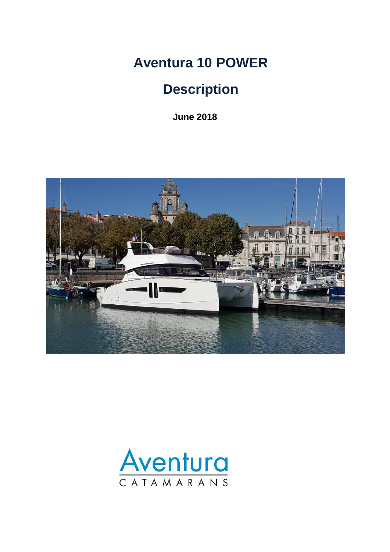**Aventura 10 POWER**

# **Description**

**June 2018**



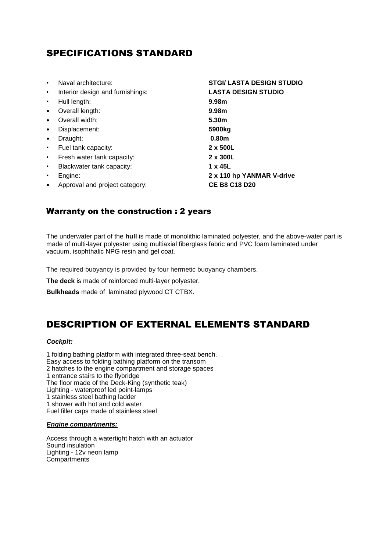# SPECIFICATIONS STANDARD

| $\bullet$ | Naval architecture:              | <b>STGI/ LASTA DESIGN STUDIO</b> |
|-----------|----------------------------------|----------------------------------|
|           |                                  |                                  |
| $\bullet$ | Interior design and furnishings: | <b>LASTA DESIGN STUDIO</b>       |
| $\bullet$ | Hull length:                     | 9.98m                            |
| $\bullet$ | Overall length:                  | 9.98m                            |
| $\bullet$ | Overall width:                   | 5.30 <sub>m</sub>                |
| $\bullet$ | Displacement:                    | 5900 <sub>kg</sub>               |
| $\bullet$ | Draught:                         | 0.80 <sub>m</sub>                |
| $\bullet$ | Fuel tank capacity:              | 2 x 500L                         |
| $\bullet$ | Fresh water tank capacity:       | 2 x 300L                         |
| $\bullet$ | Blackwater tank capacity:        | 1 x 45L                          |
| ٠         | Engine:                          | 2 x 110 hp YANMAR V-drive        |
|           | Approval and project category:   | <b>CE B8 C18 D20</b>             |
|           |                                  |                                  |

# Warranty on the construction : 2 years

The underwater part of the **hull** is made of monolithic laminated polyester, and the above-water part is made of multi-layer polyester using multiaxial fiberglass fabric and PVC foam laminated under vacuum, isophthalic NPG resin and gel coat.

The required buoyancy is provided by four hermetic buoyancy chambers.

**The deck** is made of reinforced multi-layer polyester.

**Bulkheads** made of laminated plywood CT CTBX.

# DESCRIPTION OF EXTERNAL ELEMENTS STANDARD

#### *Cockpit:*

1 folding bathing platform with integrated three-seat bench. Easy access to folding bathing platform on the transom 2 hatches to the engine compartment and storage spaces 1 entrance stairs to the flybridge The floor made of the Deck-King (synthetic teak) Lighting - waterproof led point-lamps 1 stainless steel bathing ladder 1 shower with hot and cold water Fuel filler caps made of stainless steel

#### *Engine compartments:*

Access through a watertight hatch with an actuator Sound insulation Lighting - 12v neon lamp Compartments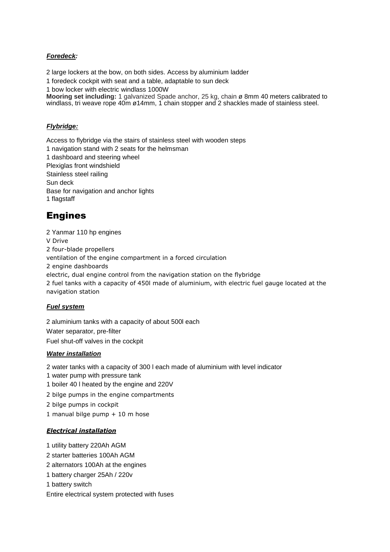# *Foredeck:*

2 large lockers at the bow, on both sides. Access by aluminium ladder

1 foredeck cockpit with seat and a table, adaptable to sun deck

1 bow locker with electric windlass 1000W

**Mooring set including:** 1 galvanized Spade anchor, 25 kg, chain ø 8mm 40 meters calibrated to windlass, tri weave rope 40m ø14mm, 1 chain stopper and 2 shackles made of stainless steel.

### *Flybridge:*

Access to flybridge via the stairs of stainless steel with wooden steps 1 navigation stand with 2 seats for the helmsman 1 dashboard and steering wheel Plexiglas front windshield Stainless steel railing Sun deck Base for navigation and anchor lights 1 flagstaff

# Engines

2 Yanmar 110 hp engines V Drive 2 four-blade propellers ventilation of the engine compartment in a forced circulation 2 engine dashboards electric, dual engine control from the navigation station on the flybridge 2 fuel tanks with a capacity of 450l made of aluminium, with electric fuel gauge located at the navigation station

# *Fuel system*

2 aluminium tanks with a capacity of about 500l each Water separator, pre-filter Fuel shut-off valves in the cockpit

### *Water installation*

2 water tanks with a capacity of 300 l each made of aluminium with level indicator

1 water pump with pressure tank

1 boiler 40 l heated by the engine and 220V

2 bilge pumps in the engine compartments

2 bilge pumps in cockpit

1 manual bilge pump + 10 m hose

# *Electrical installation*

1 utility battery 220Ah AGM

- 2 starter batteries 100Ah AGM
- 2 alternators 100Ah at the engines
- 1 battery charger 25Ah / 220v
- 1 battery switch

Entire electrical system protected with fuses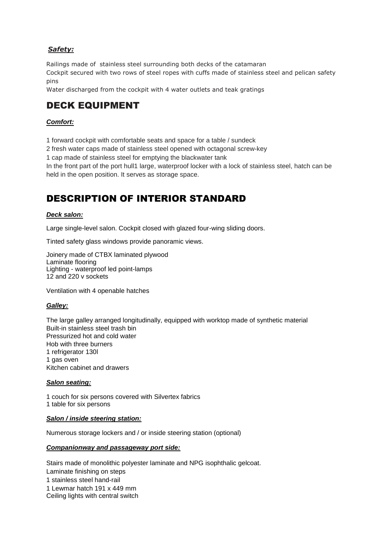# *Safety:*

Railings made of stainless steel surrounding both decks of the catamaran Cockpit secured with two rows of steel ropes with cuffs made of stainless steel and pelican safety pins

Water discharged from the cockpit with 4 water outlets and teak gratings

# DECK EQUIPMENT

# *Comfort:*

1 forward cockpit with comfortable seats and space for a table / sundeck

2 fresh water caps made of stainless steel opened with octagonal screw-key

1 cap made of stainless steel for emptying the blackwater tank

In the front part of the port hull1 large, waterproof locker with a lock of stainless steel, hatch can be held in the open position. It serves as storage space.

# DESCRIPTION OF INTERIOR STANDARD

### *Deck salon:*

Large single-level salon. Cockpit closed with glazed four-wing sliding doors.

Tinted safety glass windows provide panoramic views.

Joinery made of CTBX laminated plywood Laminate flooring Lighting - waterproof led point-lamps 12 and 220 v sockets

Ventilation with 4 openable hatches

### *Galley:*

The large galley arranged longitudinally, equipped with worktop made of synthetic material Built-in stainless steel trash bin Pressurized hot and cold water Hob with three burners 1 refrigerator 130l 1 gas oven Kitchen cabinet and drawers

### *Salon seating:*

1 couch for six persons covered with Silvertex fabrics 1 table for six persons

### *Salon / inside steering station:*

Numerous storage lockers and / or inside steering station (optional)

### *Companionway and passageway port side:*

Stairs made of monolithic polyester laminate and NPG isophthalic gelcoat. Laminate finishing on steps 1 stainless steel hand-rail 1 Lewmar hatch 191 x 449 mm Ceiling lights with central switch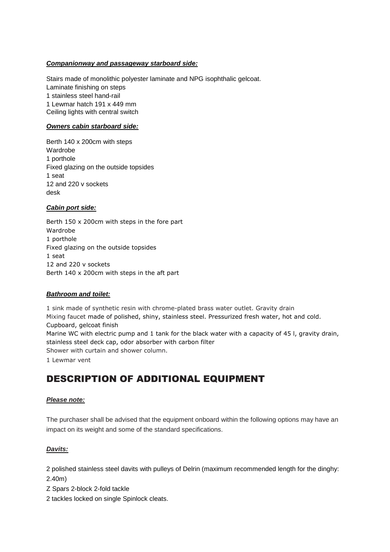### *Companionway and passageway starboard side:*

Stairs made of monolithic polyester laminate and NPG isophthalic gelcoat. Laminate finishing on steps 1 stainless steel hand-rail 1 Lewmar hatch 191 x 449 mm Ceiling lights with central switch

### *Owners cabin starboard side:*

Berth 140 x 200cm with steps Wardrobe 1 porthole Fixed glazing on the outside topsides 1 seat 12 and 220 v sockets desk

### *Cabin port side:*

Berth 150 x 200cm with steps in the fore part Wardrobe 1 porthole Fixed glazing on the outside topsides 1 seat 12 and 220 v sockets Berth 140 x 200cm with steps in the aft part

### *Bathroom and toilet:*

1 sink made of synthetic resin with chrome-plated brass water outlet. Gravity drain Mixing faucet made of polished, shiny, stainless steel. Pressurized fresh water, hot and cold. Cupboard, gelcoat finish Marine WC with electric pump and 1 tank for the black water with a capacity of 45 l, gravity drain, stainless steel deck cap, odor absorber with carbon filter Shower with curtain and shower column. 1 Lewmar vent

# DESCRIPTION OF ADDITIONAL EQUIPMENT

### *Please note:*

The purchaser shall be advised that the equipment onboard within the following options may have an impact on its weight and some of the standard specifications.

### *Davits:*

2 polished stainless steel davits with pulleys of Delrin (maximum recommended length for the dinghy: 2.40m)

Z Spars 2-block 2-fold tackle

2 tackles locked on single Spinlock cleats.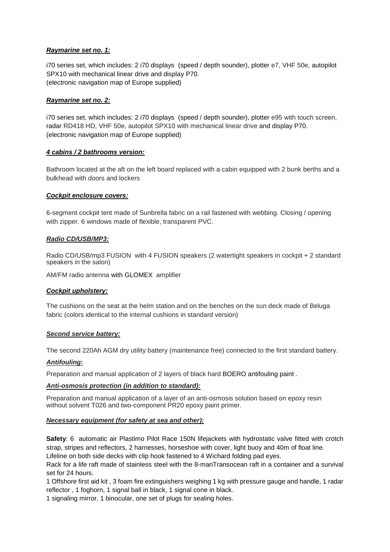### *Raymarine set no. 1:*

i70 series set, which includes: 2 i70 displays (speed / depth sounder), plotter e7, VHF 50e, autopilot SPX10 with mechanical linear drive and display P70. (electronic navigation map of Europe supplied)

#### *Raymarine set no. 2:*

i70 series set, which includes: 2 i70 displays (speed / depth sounder), plotter e95 with touch screen, radar RD418 HD, VHF 50e, autopilot SPX10 with mechanical linear drive and display P70. (electronic navigation map of Europe supplied)

#### *4 cabins / 2 bathrooms version:*

Bathroom located at the aft on the left board replaced with a cabin equipped with 2 bunk berths and a bulkhead with doors and lockers

#### *Cockpit enclosure covers:*

6-segment cockpit tent made of Sunbrella fabric on a rail fastened with webbing. Closing / opening with zipper. 6 windows made of flexible, transparent PVC.

#### *Radio CD/USB/MP3:*

Radio CD/USB/mp3 FUSION with 4 FUSION speakers (2 watertight speakers in cockpit + 2 standard speakers in the salon)

AM/FM radio antenna with GLOMEX amplifier

#### *Cockpit upholstery:*

The cushions on the seat at the helm station and on the benches on the sun deck made of Beluga fabric (colors identical to the internal cushions in standard version)

#### *Second service battery:*

The second 220Ah AGM dry utility battery (maintenance free) connected to the first standard battery.

#### *Antifouling:*

Preparation and manual application of 2 layers of black hard BOERO antifouling paint .

#### *Anti-osmosis protection (in addition to standard):*

Preparation and manual application of a layer of an anti-osmosis solution based on epoxy resin without solvent T026 and two-component PR20 epoxy paint primer.

#### *Necessary equipment (for safety at sea and other):*

**Safety**: 6 automatic air Plastimo Pilot Race 150N lifejackets with hydrostatic valve fitted with crotch strap, stripes and reflectors, 2 harnesses, horseshoe with cover, light buoy and 40m of float line. Lifeline on both side decks with clip hook fastened to 4 Wichard folding pad eyes.

Rack for a life raft made of stainless steel with the 8-manTransocean raft in a container and a survival set for 24 hours.

1 Offshore first aid kit , 3 foam fire extinguishers weighing 1 kg with pressure gauge and handle, 1 radar reflector , 1 foghorn, 1 signal ball in black, 1 signal cone in black.

1 signaling mirror, 1 binocular, one set of plugs for sealing holes.